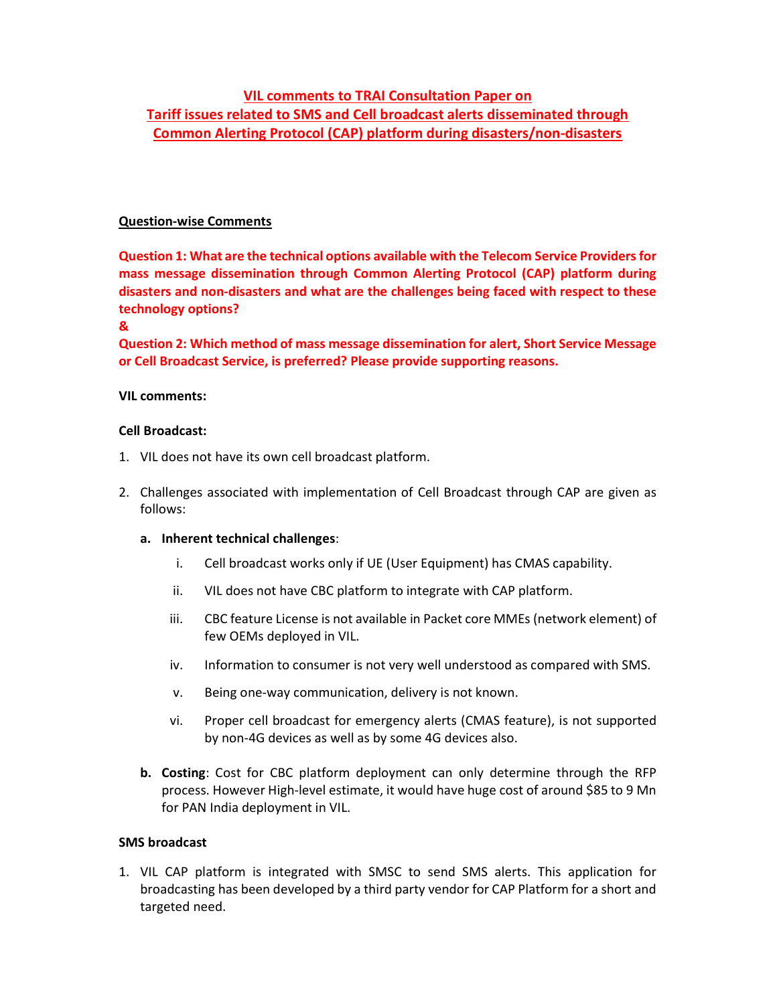# VIL comments to TRAI Consultation Paper on Tariff issues related to SMS and Cell broadcast alerts disseminated through Common Alerting Protocol (CAP) platform during disasters/non-disasters

## Question-wise Comments

Question 1: What are the technical options available with the Telecom Service Providers for mass message dissemination through Common Alerting Protocol (CAP) platform during disasters and non-disasters and what are the challenges being faced with respect to these technology options?

### &

Question 2: Which method of mass message dissemination for alert, Short Service Message or Cell Broadcast Service, is preferred? Please provide supporting reasons.

### VIL comments:

### Cell Broadcast:

- 1. VIL does not have its own cell broadcast platform.
- 2. Challenges associated with implementation of Cell Broadcast through CAP are given as follows:

### a. Inherent technical challenges:

- i. Cell broadcast works only if UE (User Equipment) has CMAS capability.
- ii. VIL does not have CBC platform to integrate with CAP platform.
- iii. CBC feature License is not available in Packet core MMEs (network element) of few OEMs deployed in VIL.
- iv. Information to consumer is not very well understood as compared with SMS.
- v. Being one-way communication, delivery is not known.
- vi. Proper cell broadcast for emergency alerts (CMAS feature), is not supported by non-4G devices as well as by some 4G devices also.
- b. Costing: Cost for CBC platform deployment can only determine through the RFP process. However High-level estimate, it would have huge cost of around \$85 to 9 Mn for PAN India deployment in VIL.

## SMS broadcast

1. VIL CAP platform is integrated with SMSC to send SMS alerts. This application for broadcasting has been developed by a third party vendor for CAP Platform for a short and targeted need.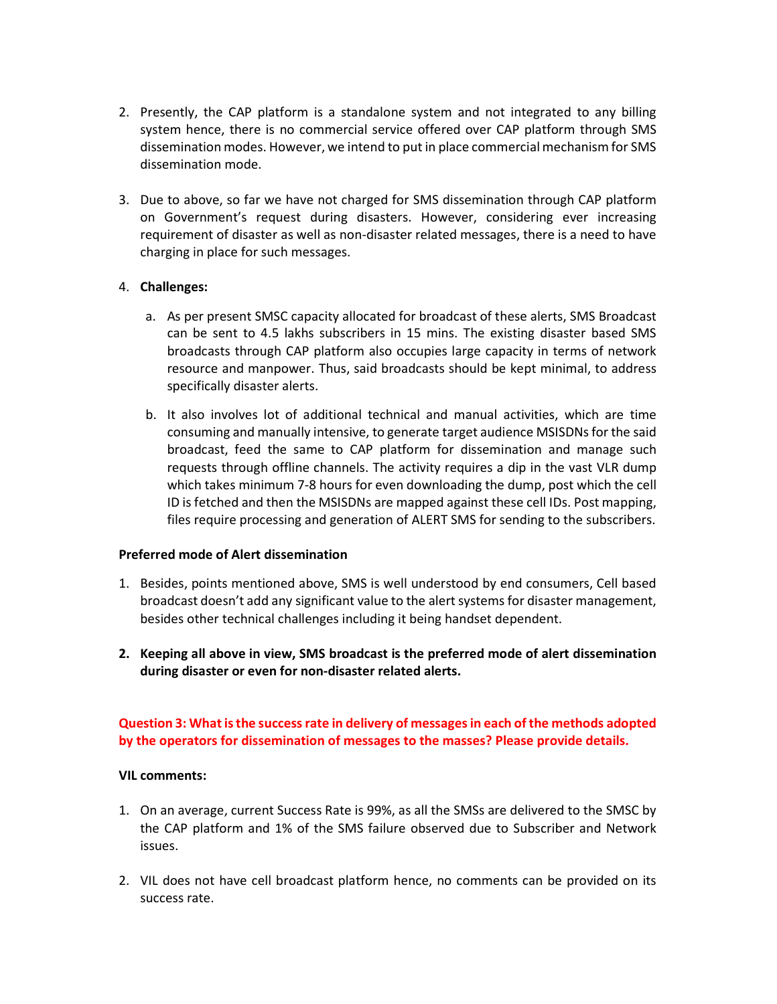- 2. Presently, the CAP platform is a standalone system and not integrated to any billing system hence, there is no commercial service offered over CAP platform through SMS dissemination modes. However, we intend to put in place commercial mechanism for SMS dissemination mode.
- 3. Due to above, so far we have not charged for SMS dissemination through CAP platform on Government's request during disasters. However, considering ever increasing requirement of disaster as well as non-disaster related messages, there is a need to have charging in place for such messages.

## 4. Challenges:

- a. As per present SMSC capacity allocated for broadcast of these alerts, SMS Broadcast can be sent to 4.5 lakhs subscribers in 15 mins. The existing disaster based SMS broadcasts through CAP platform also occupies large capacity in terms of network resource and manpower. Thus, said broadcasts should be kept minimal, to address specifically disaster alerts.
- b. It also involves lot of additional technical and manual activities, which are time consuming and manually intensive, to generate target audience MSISDNs for the said broadcast, feed the same to CAP platform for dissemination and manage such requests through offline channels. The activity requires a dip in the vast VLR dump which takes minimum 7-8 hours for even downloading the dump, post which the cell ID is fetched and then the MSISDNs are mapped against these cell IDs. Post mapping, files require processing and generation of ALERT SMS for sending to the subscribers.

## Preferred mode of Alert dissemination

- 1. Besides, points mentioned above, SMS is well understood by end consumers, Cell based broadcast doesn't add any significant value to the alert systems for disaster management, besides other technical challenges including it being handset dependent.
- 2. Keeping all above in view, SMS broadcast is the preferred mode of alert dissemination during disaster or even for non-disaster related alerts.

## Question 3: What is the success rate in delivery of messages in each of the methods adopted by the operators for dissemination of messages to the masses? Please provide details.

## VIL comments:

- 1. On an average, current Success Rate is 99%, as all the SMSs are delivered to the SMSC by the CAP platform and 1% of the SMS failure observed due to Subscriber and Network issues.
- 2. VIL does not have cell broadcast platform hence, no comments can be provided on its success rate.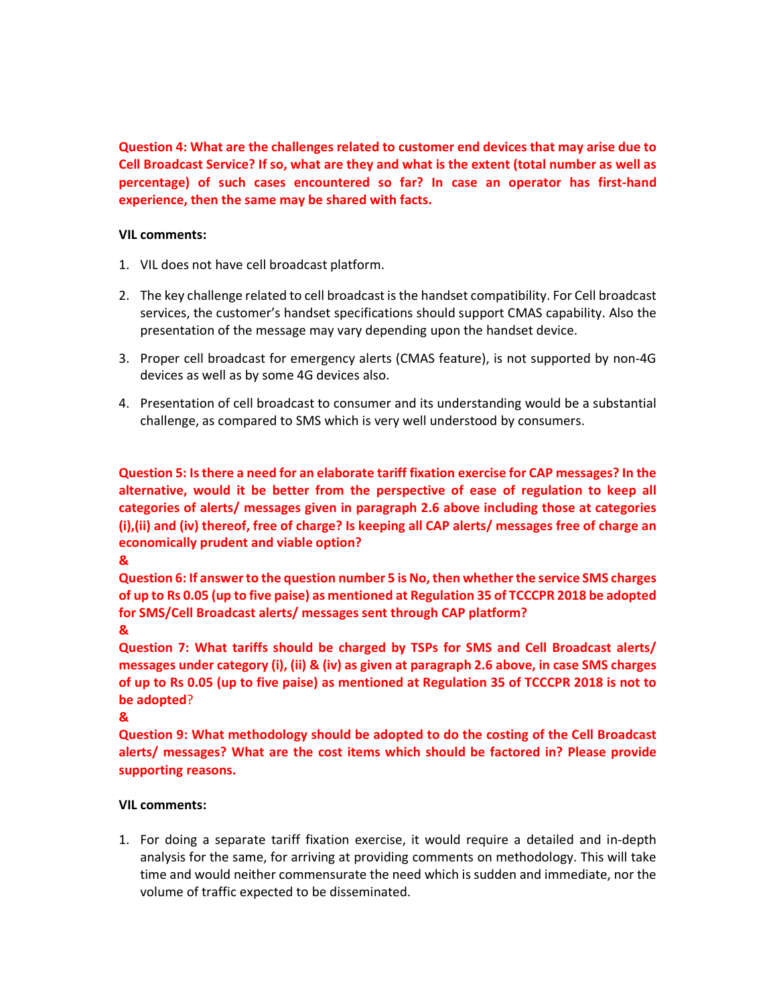Question 4: What are the challenges related to customer end devices that may arise due to Cell Broadcast Service? If so, what are they and what is the extent (total number as well as percentage) of such cases encountered so far? In case an operator has first-hand experience, then the same may be shared with facts.

### VIL comments:

- 1. VIL does not have cell broadcast platform.
- 2. The key challenge related to cell broadcast is the handset compatibility. For Cell broadcast services, the customer's handset specifications should support CMAS capability. Also the presentation of the message may vary depending upon the handset device.
- 3. Proper cell broadcast for emergency alerts (CMAS feature), is not supported by non-4G devices as well as by some 4G devices also.
- 4. Presentation of cell broadcast to consumer and its understanding would be a substantial challenge, as compared to SMS which is very well understood by consumers.

Question 5: Is there a need for an elaborate tariff fixation exercise for CAP messages? In the alternative, would it be better from the perspective of ease of regulation to keep all categories of alerts/ messages given in paragraph 2.6 above including those at categories (i),(ii) and (iv) thereof, free of charge? Is keeping all CAP alerts/ messages free of charge an economically prudent and viable option?

### &

Question 6: If answer to the question number 5 is No, then whether the service SMS charges of up to Rs 0.05 (up to five paise) as mentioned at Regulation 35 of TCCCPR 2018 be adopted for SMS/Cell Broadcast alerts/ messages sent through CAP platform?

### &

Question 7: What tariffs should be charged by TSPs for SMS and Cell Broadcast alerts/ messages under category (i), (ii) & (iv) as given at paragraph 2.6 above, in case SMS charges of up to Rs 0.05 (up to five paise) as mentioned at Regulation 35 of TCCCPR 2018 is not to be adopted?

### &

Question 9: What methodology should be adopted to do the costing of the Cell Broadcast alerts/ messages? What are the cost items which should be factored in? Please provide supporting reasons.

## VIL comments:

1. For doing a separate tariff fixation exercise, it would require a detailed and in-depth analysis for the same, for arriving at providing comments on methodology. This will take time and would neither commensurate the need which is sudden and immediate, nor the volume of traffic expected to be disseminated.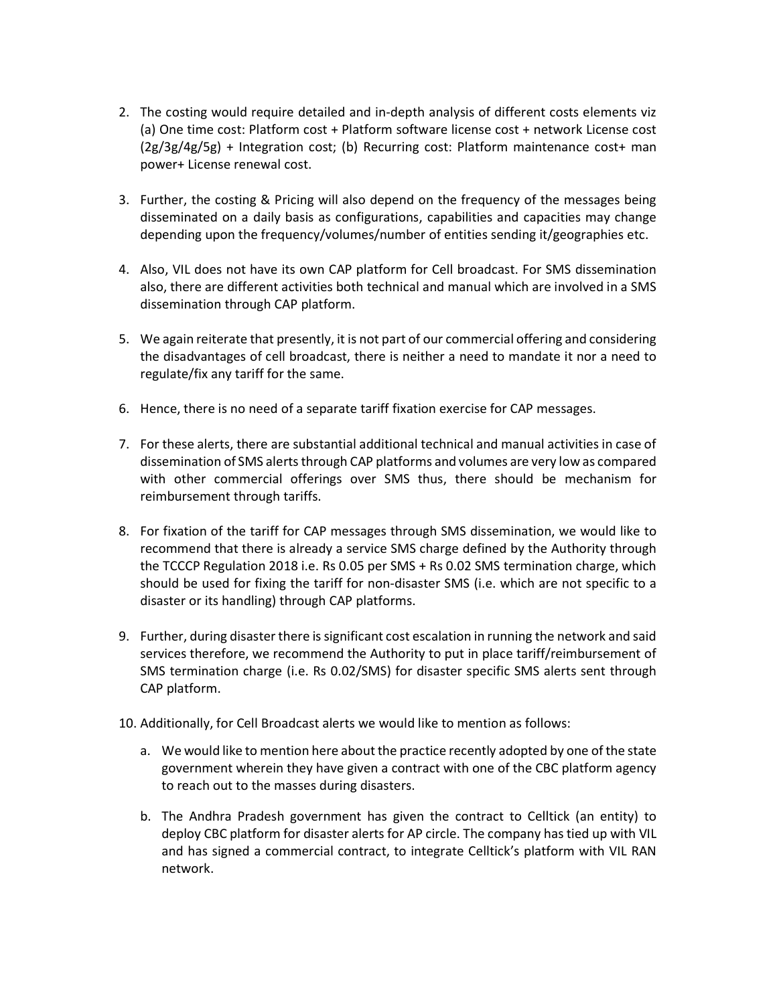- 2. The costing would require detailed and in-depth analysis of different costs elements viz (a) One time cost: Platform cost + Platform software license cost + network License cost (2g/3g/4g/5g) + Integration cost; (b) Recurring cost: Platform maintenance cost+ man power+ License renewal cost.
- 3. Further, the costing & Pricing will also depend on the frequency of the messages being disseminated on a daily basis as configurations, capabilities and capacities may change depending upon the frequency/volumes/number of entities sending it/geographies etc.
- 4. Also, VIL does not have its own CAP platform for Cell broadcast. For SMS dissemination also, there are different activities both technical and manual which are involved in a SMS dissemination through CAP platform.
- 5. We again reiterate that presently, it is not part of our commercial offering and considering the disadvantages of cell broadcast, there is neither a need to mandate it nor a need to regulate/fix any tariff for the same.
- 6. Hence, there is no need of a separate tariff fixation exercise for CAP messages.
- 7. For these alerts, there are substantial additional technical and manual activities in case of dissemination of SMS alerts through CAP platforms and volumes are very low as compared with other commercial offerings over SMS thus, there should be mechanism for reimbursement through tariffs.
- 8. For fixation of the tariff for CAP messages through SMS dissemination, we would like to recommend that there is already a service SMS charge defined by the Authority through the TCCCP Regulation 2018 i.e. Rs 0.05 per SMS + Rs 0.02 SMS termination charge, which should be used for fixing the tariff for non-disaster SMS (i.e. which are not specific to a disaster or its handling) through CAP platforms.
- 9. Further, during disaster there is significant cost escalation in running the network and said services therefore, we recommend the Authority to put in place tariff/reimbursement of SMS termination charge (i.e. Rs 0.02/SMS) for disaster specific SMS alerts sent through CAP platform.
- 10. Additionally, for Cell Broadcast alerts we would like to mention as follows:
	- a. We would like to mention here about the practice recently adopted by one of the state government wherein they have given a contract with one of the CBC platform agency to reach out to the masses during disasters.
	- b. The Andhra Pradesh government has given the contract to Celltick (an entity) to deploy CBC platform for disaster alerts for AP circle. The company has tied up with VIL and has signed a commercial contract, to integrate Celltick's platform with VIL RAN network.